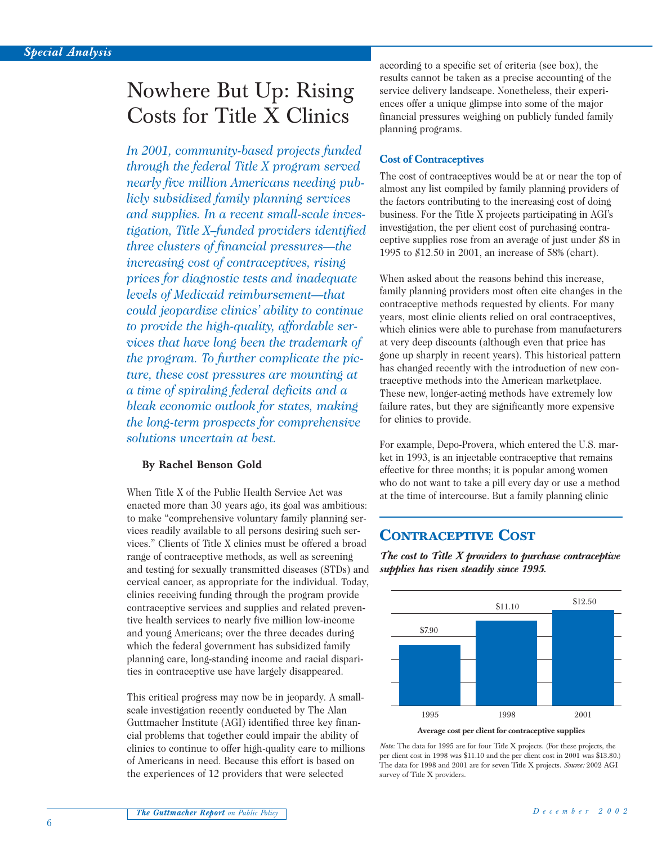# Nowhere But Up: Rising Costs for Title X Clinics

*In 2001, community-based projects funded through the federal Title X program served nearly five million Americans needing publicly subsidized family planning services and supplies. In a recent small-scale investigation, Title X–funded providers identified three clusters of financial pressures—the increasing cost of contraceptives, rising prices for diagnostic tests and inadequate levels of Medicaid reimbursement—that could jeopardize clinics' ability to continue to provide the high-quality, affordable services that have long been the trademark of the program. To further complicate the picture, these cost pressures are mounting at a time of spiraling federal deficits and a bleak economic outlook for states, making the long-term prospects for comprehensive solutions uncertain at best.*

#### **By Rachel Benson Gold**

When Title X of the Public Health Service Act was enacted more than 30 years ago, its goal was ambitious: to make "comprehensive voluntary family planning services readily available to all persons desiring such services." Clients of Title X clinics must be offered a broad range of contraceptive methods, as well as screening and testing for sexually transmitted diseases (STDs) and cervical cancer, as appropriate for the individual. Today, clinics receiving funding through the program provide contraceptive services and supplies and related preventive health services to nearly five million low-income and young Americans; over the three decades during which the federal government has subsidized family planning care, long-standing income and racial disparities in contraceptive use have largely disappeared.

This critical progress may now be in jeopardy. A smallscale investigation recently conducted by The Alan Guttmacher Institute (AGI) identified three key financial problems that together could impair the ability of clinics to continue to offer high-quality care to millions of Americans in need. Because this effort is based on the experiences of 12 providers that were selected

according to a specific set of criteria (see box), the results cannot be taken as a precise accounting of the service delivery landscape. Nonetheless, their experiences offer a unique glimpse into some of the major financial pressures weighing on publicly funded family planning programs.

#### **Cost of Contraceptives**

The cost of contraceptives would be at or near the top of almost any list compiled by family planning providers of the factors contributing to the increasing cost of doing business. For the Title X projects participating in AGI's investigation, the per client cost of purchasing contraceptive supplies rose from an average of just under \$8 in 1995 to \$12.50 in 2001, an increase of 58% (chart).

When asked about the reasons behind this increase, family planning providers most often cite changes in the contraceptive methods requested by clients. For many years, most clinic clients relied on oral contraceptives, which clinics were able to purchase from manufacturers at very deep discounts (although even that price has gone up sharply in recent years). This historical pattern has changed recently with the introduction of new contraceptive methods into the American marketplace. These new, longer-acting methods have extremely low failure rates, but they are significantly more expensive for clinics to provide.

For example, Depo-Provera, which entered the U.S. market in 1993, is an injectable contraceptive that remains effective for three months; it is popular among women who do not want to take a pill every day or use a method at the time of intercourse. But a family planning clinic

## **CONTRACEPTIVE COST**

*The cost to Title X providers to purchase contraceptive supplies has risen steadily since 1995.*



*Note:* The data for 1995 are for four Title X projects. (For these projects, the per client cost in 1998 was \$11.10 and the per client cost in 2001 was \$13.80.) The data for 1998 and 2001 are for seven Title X projects. *Source:* 2002 AGI survey of Title X providers.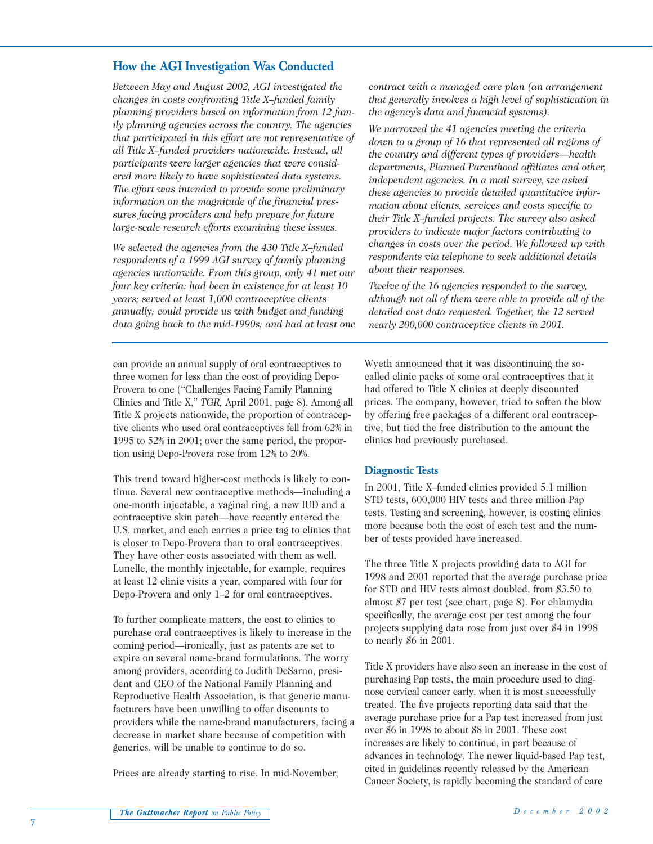#### **How the AGI Investigation Was Conducted**

*Between May and August 2002, AGI investigated the changes in costs confronting Title X–funded family planning providers based on information from 12 family planning agencies across the country. The agencies that participated in this effort are not representative of all Title X–funded providers nationwide. Instead, all participants were larger agencies that were considered more likely to have sophisticated data systems. The effort was intended to provide some preliminary information on the magnitude of the financial pressures facing providers and help prepare for future large-scale research efforts examining these issues.*

*We selected the agencies from the 430 Title X–funded respondents of a 1999 AGI survey of family planning agencies nationwide. From this group, only 41 met our four key criteria: had been in existence for at least 10 years; served at least 1,000 contraceptive clients annually; could provide us with budget and funding data going back to the mid-1990s; and had at least one*

can provide an annual supply of oral contraceptives to three women for less than the cost of providing Depo-Provera to one ("Challenges Facing Family Planning Clinics and Title X," *TGR,* April 2001, page 8). Among all Title X projects nationwide, the proportion of contraceptive clients who used oral contraceptives fell from 62% in 1995 to 52% in 2001; over the same period, the proportion using Depo-Provera rose from 12% to 20%.

This trend toward higher-cost methods is likely to continue. Several new contraceptive methods—including a one-month injectable, a vaginal ring, a new IUD and a contraceptive skin patch—have recently entered the U.S. market, and each carries a price tag to clinics that is closer to Depo-Provera than to oral contraceptives. They have other costs associated with them as well. Lunelle, the monthly injectable, for example, requires at least 12 clinic visits a year, compared with four for Depo-Provera and only 1–2 for oral contraceptives.

To further complicate matters, the cost to clinics to purchase oral contraceptives is likely to increase in the coming period—ironically, just as patents are set to expire on several name-brand formulations. The worry among providers, according to Judith DeSarno, president and CEO of the National Family Planning and Reproductive Health Association, is that generic manufacturers have been unwilling to offer discounts to providers while the name-brand manufacturers, facing a decrease in market share because of competition with generics, will be unable to continue to do so.

Prices are already starting to rise. In mid-November,

*contract with a managed care plan (an arrangement that generally involves a high level of sophistication in the agency's data and financial systems).*

*We narrowed the 41 agencies meeting the criteria down to a group of 16 that represented all regions of the country and different types of providers—health departments, Planned Parenthood affiliates and other, independent agencies. In a mail survey, we asked these agencies to provide detailed quantitative information about clients, services and costs specific to their Title X–funded projects. The survey also asked providers to indicate major factors contributing to changes in costs over the period. We followed up with respondents via telephone to seek additional details about their responses.*

*Twelve of the 16 agencies responded to the survey, although not all of them were able to provide all of the detailed cost data requested. Together, the 12 served nearly 200,000 contraceptive clients in 2001.*

Wyeth announced that it was discontinuing the socalled clinic packs of some oral contraceptives that it had offered to Title X clinics at deeply discounted prices. The company, however, tried to soften the blow by offering free packages of a different oral contraceptive, but tied the free distribution to the amount the clinics had previously purchased.

#### **Diagnostic Tests**

In 2001, Title X–funded clinics provided 5.1 million STD tests, 600,000 HIV tests and three million Pap tests. Testing and screening, however, is costing clinics more because both the cost of each test and the number of tests provided have increased.

The three Title X projects providing data to AGI for 1998 and 2001 reported that the average purchase price for STD and HIV tests almost doubled, from \$3.50 to almost \$7 per test (see chart, page 8). For chlamydia specifically, the average cost per test among the four projects supplying data rose from just over \$4 in 1998 to nearly \$6 in 2001.

Title X providers have also seen an increase in the cost of purchasing Pap tests, the main procedure used to diagnose cervical cancer early, when it is most successfully treated. The five projects reporting data said that the average purchase price for a Pap test increased from just over \$6 in 1998 to about \$8 in 2001. These cost increases are likely to continue, in part because of advances in technology. The newer liquid-based Pap test, cited in guidelines recently released by the American Cancer Society, is rapidly becoming the standard of care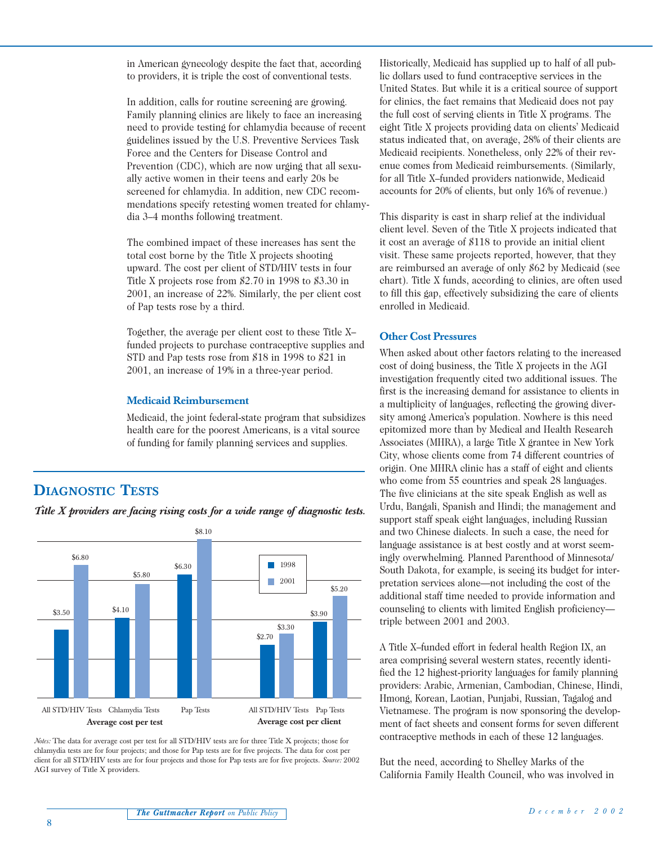in American gynecology despite the fact that, according to providers, it is triple the cost of conventional tests.

In addition, calls for routine screening are growing. Family planning clinics are likely to face an increasing need to provide testing for chlamydia because of recent guidelines issued by the U.S. Preventive Services Task Force and the Centers for Disease Control and Prevention (CDC), which are now urging that all sexually active women in their teens and early 20s be screened for chlamydia. In addition, new CDC recommendations specify retesting women treated for chlamydia 3–4 months following treatment.

The combined impact of these increases has sent the total cost borne by the Title X projects shooting upward. The cost per client of STD/HIV tests in four Title X projects rose from \$2.70 in 1998 to \$3.30 in 2001, an increase of 22%. Similarly, the per client cost of Pap tests rose by a third.

Together, the average per client cost to these Title X– funded projects to purchase contraceptive supplies and STD and Pap tests rose from \$18 in 1998 to \$21 in 2001, an increase of 19% in a three-year period.

#### **Medicaid Reimbursement**

Medicaid, the joint federal-state program that subsidizes health care for the poorest Americans, is a vital source of funding for family planning services and supplies.

# **DIAGNOSTIC TESTS**

*Title X providers are facing rising costs for a wide range of diagnostic tests.*



*Notes:* The data for average cost per test for all STD/HIV tests are for three Title X projects; those for chlamydia tests are for four projects; and those for Pap tests are for five projects. The data for cost per client for all STD/HIV tests are for four projects and those for Pap tests are for five projects. *Source:* 2002 AGI survey of Title X providers.

Historically, Medicaid has supplied up to half of all public dollars used to fund contraceptive services in the United States. But while it is a critical source of support for clinics, the fact remains that Medicaid does not pay the full cost of serving clients in Title X programs. The eight Title X projects providing data on clients' Medicaid status indicated that, on average, 28% of their clients are Medicaid recipients. Nonetheless, only 22% of their revenue comes from Medicaid reimbursements. (Similarly, for all Title X–funded providers nationwide, Medicaid accounts for 20% of clients, but only 16% of revenue.)

This disparity is cast in sharp relief at the individual client level. Seven of the Title X projects indicated that it cost an average of \$118 to provide an initial client visit. These same projects reported, however, that they are reimbursed an average of only \$62 by Medicaid (see chart). Title X funds, according to clinics, are often used to fill this gap, effectively subsidizing the care of clients enrolled in Medicaid.

#### **Other Cost Pressures**

When asked about other factors relating to the increased cost of doing business, the Title X projects in the AGI investigation frequently cited two additional issues. The first is the increasing demand for assistance to clients in a multiplicity of languages, reflecting the growing diversity among America's population. Nowhere is this need epitomized more than by Medical and Health Research Associates (MHRA), a large Title X grantee in New York City, whose clients come from 74 different countries of origin. One MHRA clinic has a staff of eight and clients who come from 55 countries and speak 28 languages. The five clinicians at the site speak English as well as Urdu, Bangali, Spanish and Hindi; the management and support staff speak eight languages, including Russian and two Chinese dialects. In such a case, the need for language assistance is at best costly and at worst seemingly overwhelming. Planned Parenthood of Minnesota/ South Dakota, for example, is seeing its budget for interpretation services alone—not including the cost of the additional staff time needed to provide information and counseling to clients with limited English proficiency triple between 2001 and 2003.

A Title X–funded effort in federal health Region IX, an area comprising several western states, recently identified the 12 highest-priority languages for family planning providers: Arabic, Armenian, Cambodian, Chinese, Hindi, Hmong, Korean, Laotian, Punjabi, Russian, Tagalog and Vietnamese. The program is now sponsoring the development of fact sheets and consent forms for seven different contraceptive methods in each of these 12 languages.

But the need, according to Shelley Marks of the California Family Health Council, who was involved in